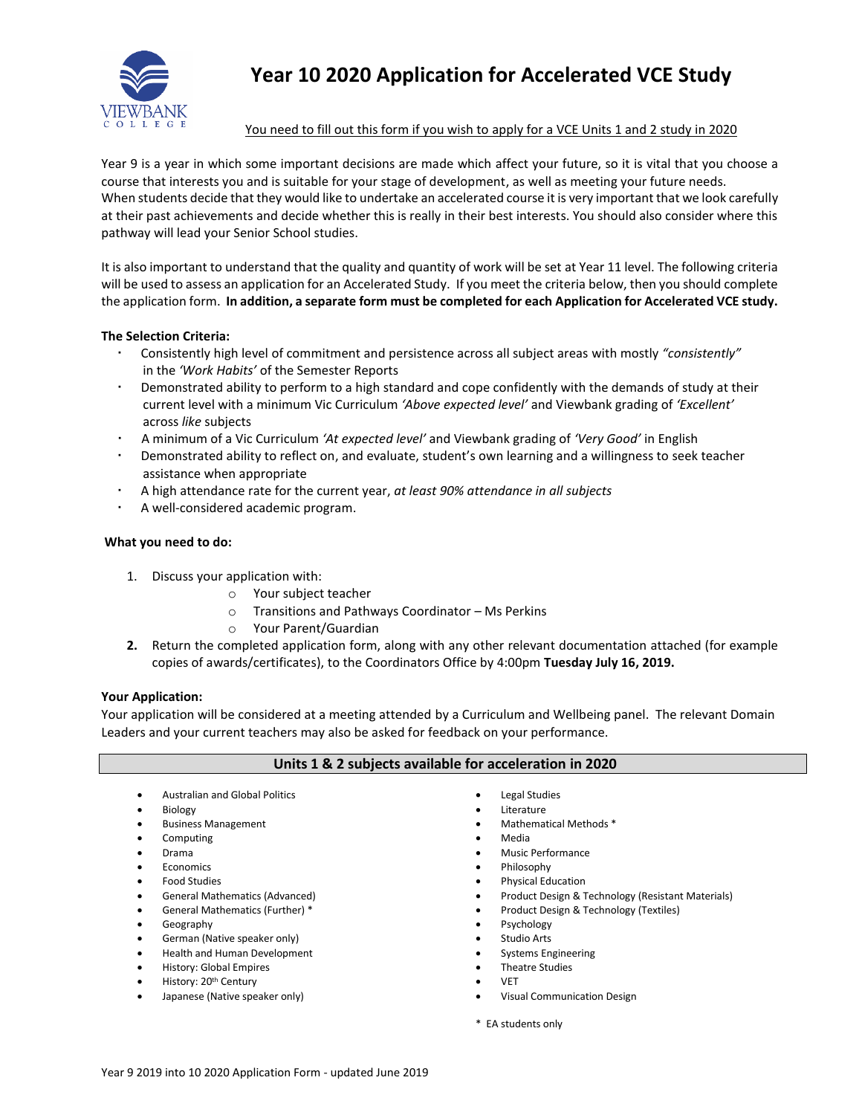

## **Year 10 2020 Application for Accelerated VCE Study**

#### You need to fill out this form if you wish to apply for a VCE Units 1 and 2 study in 2020

Year 9 is a year in which some important decisions are made which affect your future, so it is vital that you choose a course that interests you and is suitable for your stage of development, as well as meeting your future needs. When students decide that they would like to undertake an accelerated course it is very important that we look carefully at their past achievements and decide whether this is really in their best interests. You should also consider where this pathway will lead your Senior School studies.

It is also important to understand that the quality and quantity of work will be set at Year 11 level. The following criteria will be used to assess an application for an Accelerated Study. If you meet the criteria below, then you should complete the application form. **In addition, a separate form must be completed for each Application for Accelerated VCE study.**

#### **The Selection Criteria:**

- Consistently high level of commitment and persistence across all subject areas with mostly *"consistently"*  in the *'Work Habits'* of the Semester Reports
- Demonstrated ability to perform to a high standard and cope confidently with the demands of study at their current level with a minimum Vic Curriculum *'Above expected level'* and Viewbank grading of *'Excellent'* across *like* subjects
- A minimum of a Vic Curriculum *'At expected level'* and Viewbank grading of *'Very Good'* in English
- Demonstrated ability to reflect on, and evaluate, student's own learning and a willingness to seek teacher assistance when appropriate
- A high attendance rate for the current year, *at least 90% attendance in all subjects*
- A well-considered academic program.

#### **What you need to do:**

- 1. Discuss your application with:
	- o Your subject teacher
	- o Transitions and Pathways Coordinator Ms Perkins
	- o Your Parent/Guardian
- **2.** Return the completed application form, along with any other relevant documentation attached (for example copies of awards/certificates), to the Coordinators Office by 4:00pm **Tuesday July 16, 2019.**

#### **Your Application:**

Your application will be considered at a meeting attended by a Curriculum and Wellbeing panel. The relevant Domain Leaders and your current teachers may also be asked for feedback on your performance.

#### **Units 1 & 2 subjects available for acceleration in 2020**

- Australian and Global Politics
- Biology
- **•** Business Management
- Computing
- Drama
- Economics
- Food Studies
- General Mathematics (Advanced)
- General Mathematics (Further) \*
- Geography
- German (Native speaker only)
- Health and Human Development
- History: Global Empires
- History: 20<sup>th</sup> Century
- Japanese (Native speaker only)
- Legal Studies
- **•** Literature
- Mathematical Methods \*
- Media
- Music Performance
- Philosophy
- Physical Education
- Product Design & Technology (Resistant Materials)
- Product Design & Technology (Textiles)
- Psychology
- Studio Arts
- Systems Engineering
- Theatre Studies
- VET
- Visual Communication Design
- \* EA students only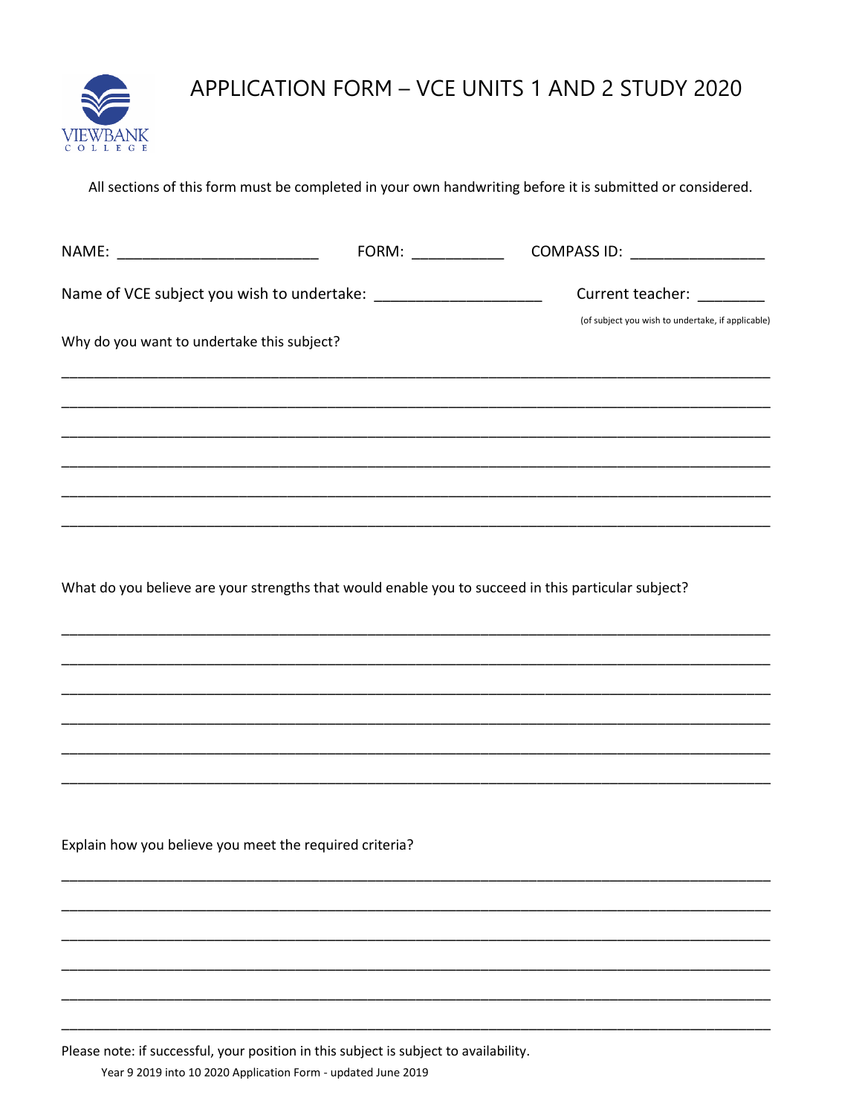

# APPLICATION FORM - VCE UNITS 1 AND 2 STUDY 2020

All sections of this form must be completed in your own handwriting before it is submitted or considered.

| NAME: _____________________________                                | FORM: _____________ | COMPASS ID: _________________                                                                       |
|--------------------------------------------------------------------|---------------------|-----------------------------------------------------------------------------------------------------|
| Name of VCE subject you wish to undertake: _______________________ |                     | Current teacher: _________<br>(of subject you wish to undertake, if applicable)                     |
| Why do you want to undertake this subject?                         |                     |                                                                                                     |
|                                                                    |                     |                                                                                                     |
|                                                                    |                     |                                                                                                     |
|                                                                    |                     |                                                                                                     |
|                                                                    |                     |                                                                                                     |
|                                                                    |                     | What do you believe are your strengths that would enable you to succeed in this particular subject? |
|                                                                    |                     |                                                                                                     |
|                                                                    |                     |                                                                                                     |
|                                                                    |                     |                                                                                                     |
|                                                                    |                     |                                                                                                     |
|                                                                    |                     |                                                                                                     |
| Explain how you believe you meet the required criteria?            |                     |                                                                                                     |
|                                                                    |                     |                                                                                                     |
|                                                                    |                     |                                                                                                     |
|                                                                    |                     |                                                                                                     |
|                                                                    |                     |                                                                                                     |
|                                                                    |                     |                                                                                                     |

Please note: if successful, your position in this subject is subject to availability.

Year 9 2019 into 10 2020 Application Form - updated June 2019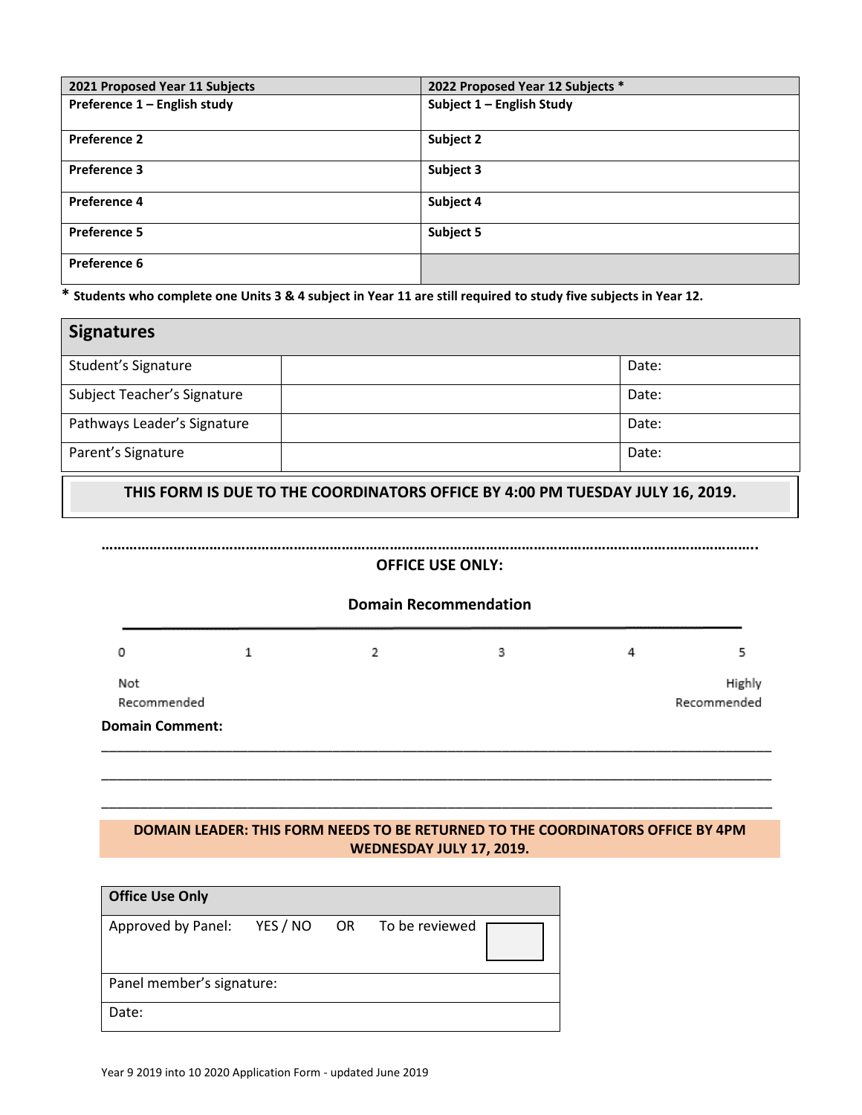| 2021 Proposed Year 11 Subjects | 2022 Proposed Year 12 Subjects * |
|--------------------------------|----------------------------------|
|                                |                                  |
| Preference 1 - English study   | Subject 1 - English Study        |
|                                |                                  |
| <b>Preference 2</b>            | Subject 2                        |
|                                |                                  |
| <b>Preference 3</b>            | Subject 3                        |
|                                |                                  |
| Preference 4                   | Subject 4                        |
|                                |                                  |
| <b>Preference 5</b>            | Subject 5                        |
|                                |                                  |
| Preference 6                   |                                  |
|                                |                                  |

**\* Students who complete one Units 3 & 4 subject in Year 11 are still required to study five subjects in Year 12.**

| <b>Signatures</b>           |       |
|-----------------------------|-------|
| Student's Signature         | Date: |
| Subject Teacher's Signature | Date: |
| Pathways Leader's Signature | Date: |
| Parent's Signature          | Date: |

**THIS FORM IS DUE TO THE COORDINATORS OFFICE BY 4:00 PM TUESDAY JULY 16, 2019.**



### **DOMAIN LEADER: THIS FORM NEEDS TO BE RETURNED TO THE COORDINATORS OFFICE BY 4PM WEDNESDAY JULY 17, 2019.**

\_\_\_\_\_\_\_\_\_\_\_\_\_\_\_\_\_\_\_\_\_\_\_\_\_\_\_\_\_\_\_\_\_\_\_\_\_\_\_\_\_\_\_\_\_\_\_\_\_\_\_\_\_\_\_\_\_\_\_\_\_\_\_\_\_\_\_\_\_\_\_\_\_\_\_\_\_\_\_\_\_\_\_\_\_\_\_

| <b>Office Use Only</b>      |  |  |                   |  |  |
|-----------------------------|--|--|-------------------|--|--|
| Approved by Panel: YES / NO |  |  | OR To be reviewed |  |  |
| Panel member's signature:   |  |  |                   |  |  |
| Date:                       |  |  |                   |  |  |